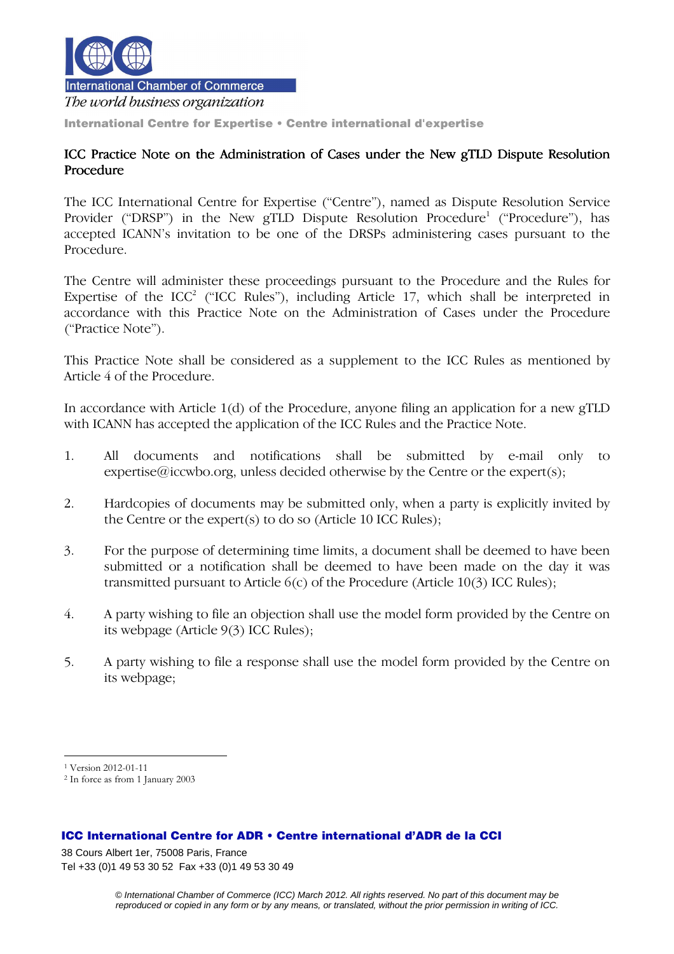

The world business organization

International Centre for Expertise • Centre international d'expertise

## ICC Practice Note on the Administration of Cases under the New gTLD Dispute Resolution Procedure

The ICC International Centre for Expertise ("Centre"), named as Dispute Resolution Service Provider ("DRSP") in the New gTLD Dispute Resolution Procedure<sup>1</sup> ("Procedure"), has accepted ICANN's invitation to be one of the DRSPs administering cases pursuant to the Procedure.

The Centre will administer these proceedings pursuant to the Procedure and the Rules for Expertise of the ICC<sup>2</sup> ("ICC Rules"), including Article 17, which shall be interpreted in accordance with this Practice Note on the Administration of Cases under the Procedure ("Practice Note").

This Practice Note shall be considered as a supplement to the ICC Rules as mentioned by Article 4 of the Procedure.

In accordance with Article 1(d) of the Procedure, anyone filing an application for a new gTLD with ICANN has accepted the application of the ICC Rules and the Practice Note.

- 1. All documents and notifications shall be submitted by e-mail only to expertise@iccwbo.org, unless decided otherwise by the Centre or the expert(s);
- 2. Hardcopies of documents may be submitted only, when a party is explicitly invited by the Centre or the expert(s) to do so (Article 10 ICC Rules);
- 3. For the purpose of determining time limits, a document shall be deemed to have been submitted or a notification shall be deemed to have been made on the day it was transmitted pursuant to Article 6(c) of the Procedure (Article 10(3) ICC Rules);
- 4. A party wishing to file an objection shall use the model form provided by the Centre on its webpage (Article 9(3) ICC Rules);
- 5. A party wishing to file a response shall use the model form provided by the Centre on its webpage;

 $\overline{a}$ 

## ICC International Centre for ADR • Centre international d'ADR de la CCI

38 Cours Albert 1er, 75008 Paris, France Tel +33 (0)1 49 53 30 52 Fax +33 (0)1 49 53 30 49

<sup>1</sup> Version 2012-01-11

<sup>2</sup> In force as from 1 January 2003